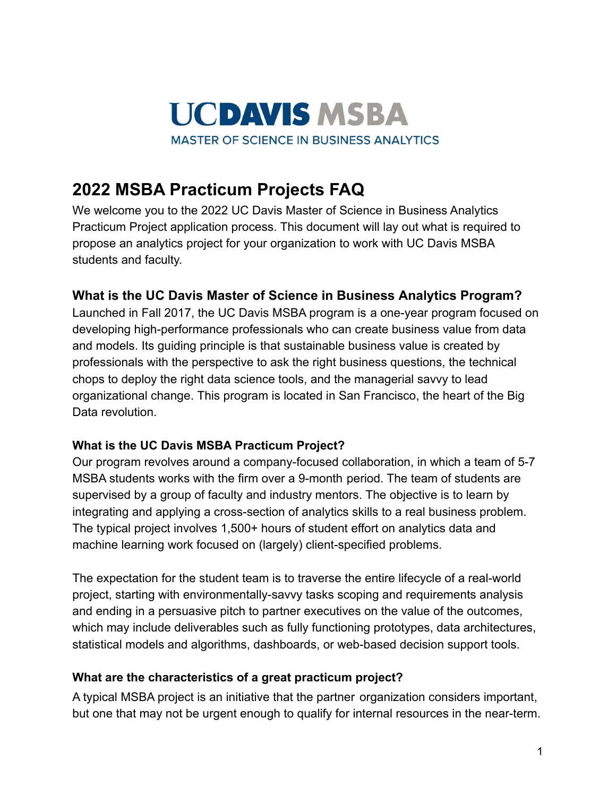

# **2022 MSBA Practicum Projects FAQ**

We welcome you to the 2022 UC Davis Master of Science in Business Analytics Practicum Project application process. This document will lay out what is required to propose an analytics project for your organization to work with UC Davis MSBA students and faculty.

## **What is the UC Davis Master of Science in Business Analytics Program?**

Launched in Fall 2017, the UC Davis MSBA program is a one-year program focused on developing high-performance professionals who can create business value from data and models. Its guiding principle is that sustainable business value is created by professionals with the perspective to ask the right business questions, the technical chops to deploy the right data science tools, and the managerial savvy to lead organizational change. This program is located in San Francisco, the heart of the Big Data revolution

## **What is the UC Davis MSBA Practicum Project?**

Our program revolves around a company-focused collaboration, in which a team of 5-7 MSBA students works with the firm over a 9-month period. The team of students are supervised by a group of faculty and industry mentors. The objective is to learn by integrating and applying a cross-section of analytics skills to a real business problem. The typical project involves 1,500+ hours of student effort on analytics data and machine learning work focused on (largely) client-specified problems.

The expectation for the student team is to traverse the entire lifecycle of a real-world project, starting with environmentally-savvy tasks scoping and requirements analysis and ending in a persuasive pitch to partner executives on the value of the outcomes, which may include deliverables such as fully functioning prototypes, data architectures, statistical models and algorithms, dashboards, or web-based decision support tools.

### **What are the characteristics of a great practicum project?**

A typical MSBA project is an initiative that the partner organization considers important, but one that may not be urgent enough to qualify for internal resources in the near-term.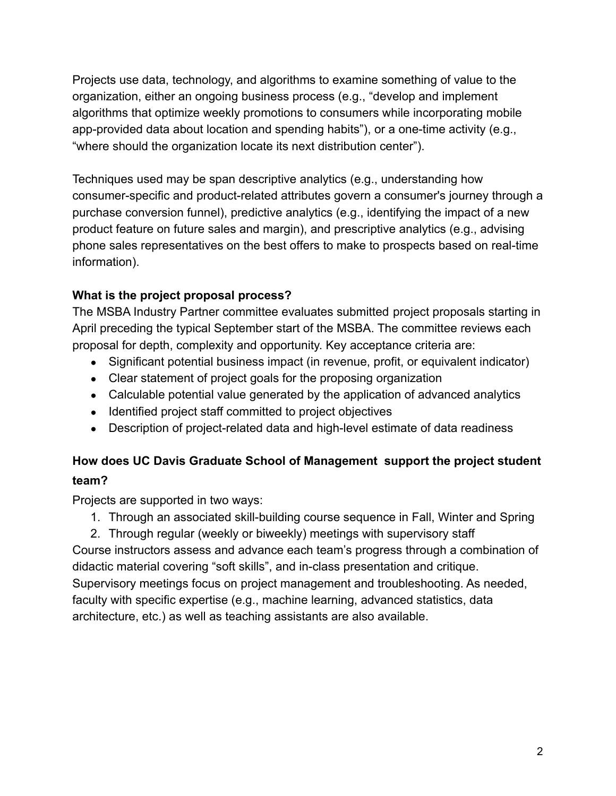Projects use data, technology, and algorithms to examine something of value to the organization, either an ongoing business process (e.g., "develop and implement algorithms that optimize weekly promotions to consumers while incorporating mobile app-provided data about location and spending habits"), or a one-time activity (e.g., "where should the organization locate its next distribution center").

Techniques used may be span descriptive analytics (e.g., understanding how consumer-specific and product-related attributes govern a consumer's journey through a purchase conversion funnel), predictive analytics (e.g., identifying the impact of a new product feature on future sales and margin), and prescriptive analytics (e.g., advising phone sales representatives on the best offers to make to prospects based on real-time information).

# **What is the project proposal process?**

The MSBA Industry Partner committee evaluates submitted project proposals starting in April preceding the typical September start of the MSBA. The committee reviews each proposal for depth, complexity and opportunity. Key acceptance criteria are:

- Significant potential business impact (in revenue, profit, or equivalent indicator)
- Clear statement of project goals for the proposing organization
- Calculable potential value generated by the application of advanced analytics
- Identified project staff committed to project objectives
- Description of project-related data and high-level estimate of data readiness

# **How does UC Davis Graduate School of Management support the project student team?**

Projects are supported in two ways:

1. Through an associated skill-building course sequence in Fall, Winter and Spring

2. Through regular (weekly or biweekly) meetings with supervisory staff Course instructors assess and advance each team's progress through a combination of didactic material covering "soft skills", and in-class presentation and critique. Supervisory meetings focus on project management and troubleshooting. As needed, faculty with specific expertise (e.g., machine learning, advanced statistics, data architecture, etc.) as well as teaching assistants are also available.